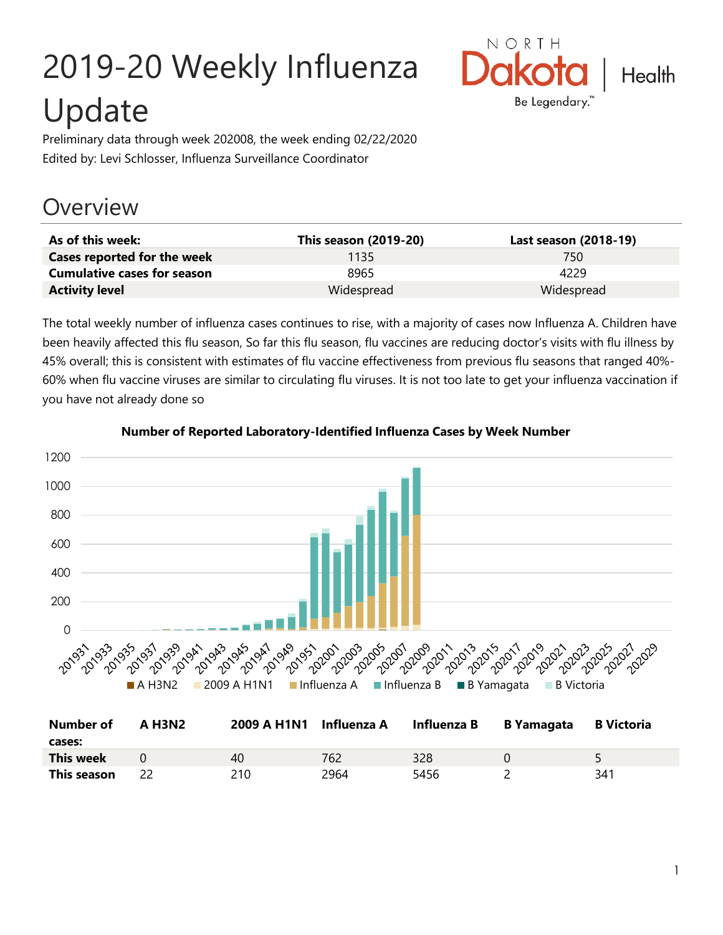# 2019-20 Weekly Influenza Update



Preliminary data through week 202008, the week ending 02/22/2020 Edited by: Levi Schlosser, Influenza Surveillance Coordinator

## **Overview**

| As of this week:                   | This season (2019-20) | Last season (2018-19) |
|------------------------------------|-----------------------|-----------------------|
| Cases reported for the week        | 1135                  | 750                   |
| <b>Cumulative cases for season</b> | 8965                  | 4229                  |
| <b>Activity level</b>              | Widespread            | Widespread            |

The total weekly number of influenza cases continues to rise, with a majority of cases now Influenza A. Children have been heavily affected this flu season, So far this flu season, flu vaccines are reducing doctor's visits with flu illness by 45% overall; this is consistent with estimates of flu vaccine effectiveness from previous flu seasons that ranged 40%- 60% when flu vaccine viruses are similar to circulating flu viruses. It is not too late to get your influenza vaccination if you have not already done so



**Number of Reported Laboratory-Identified Influenza Cases by Week Number**

| <b>Number of</b><br>cases: | <b>A H3N2</b> | 2009 A H1N1 Influenza A |      | Influenza B | <b>B</b> Yamagata | <b>B</b> Victoria |
|----------------------------|---------------|-------------------------|------|-------------|-------------------|-------------------|
| This week                  |               | 40                      | 762  | 328         |                   |                   |
| This season                |               | 210                     | 2964 | 5456        |                   | 341               |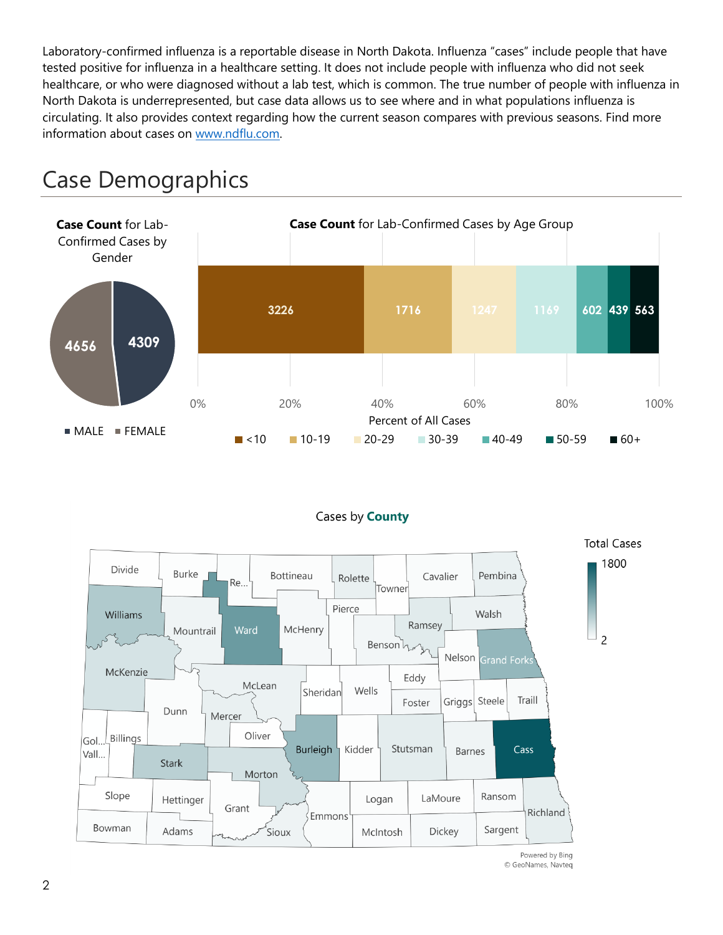Laboratory-confirmed influenza is a reportable disease in North Dakota. Influenza "cases" include people that have tested positive for influenza in a healthcare setting. It does not include people with influenza who did not seek healthcare, or who were diagnosed without a lab test, which is common. The true number of people with influenza in North Dakota is underrepresented, but case data allows us to see where and in what populations influenza is circulating. It also provides context regarding how the current season compares with previous seasons. Find more information about cases on [www.ndflu.com.](file://///nd.gov/doh/DOH-DATA/MSS/DC/PROGRAM/IMMUNE/Immunize/Influenza/Inf18-19/Surveillance/Weekly%20Summaries/www.ndflu.com)







<sup>©</sup> GeoNames, Navteq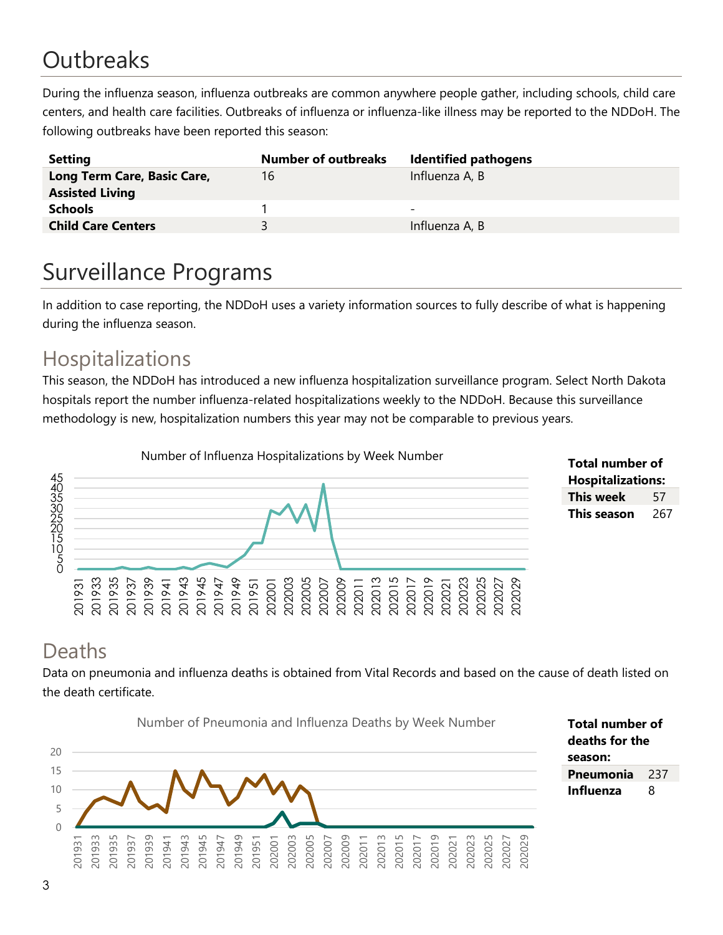# **Outbreaks**

During the influenza season, influenza outbreaks are common anywhere people gather, including schools, child care centers, and health care facilities. Outbreaks of influenza or influenza-like illness may be reported to the NDDoH. The following outbreaks have been reported this season:

| <b>Setting</b>                                        | <b>Number of outbreaks</b> | <b>Identified pathogens</b> |
|-------------------------------------------------------|----------------------------|-----------------------------|
| Long Term Care, Basic Care,<br><b>Assisted Living</b> | 16                         | Influenza A, B              |
| <b>Schools</b>                                        |                            | -                           |
| <b>Child Care Centers</b>                             | ₹                          | Influenza A, B              |

## Surveillance Programs

In addition to case reporting, the NDDoH uses a variety information sources to fully describe of what is happening during the influenza season.

#### Hospitalizations

This season, the NDDoH has introduced a new influenza hospitalization surveillance program. Select North Dakota hospitals report the number influenza-related hospitalizations weekly to the NDDoH. Because this surveillance methodology is new, hospitalization numbers this year may not be comparable to previous years.





#### Deaths

Data on pneumonia and influenza deaths is obtained from Vital Records and based on the cause of death listed on the death certificate.



**Total number of deaths for the season: Pneumonia** 237 **Influenza** 8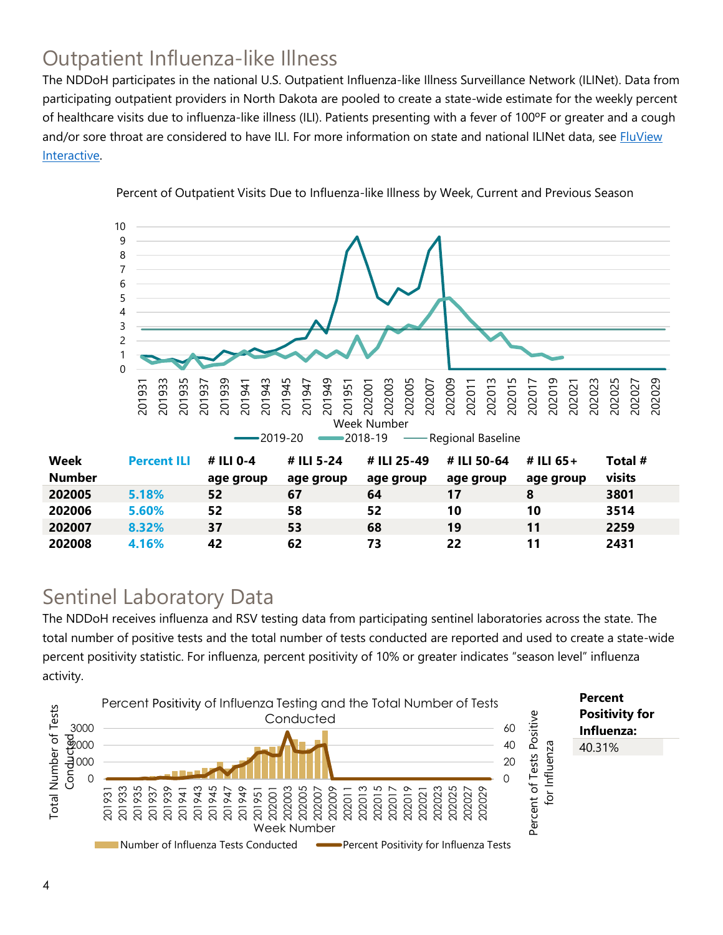### Outpatient Influenza-like Illness

The NDDoH participates in the national U.S. Outpatient Influenza-like Illness Surveillance Network (ILINet). Data from participating outpatient providers in North Dakota are pooled to create a state-wide estimate for the weekly percent of healthcare visits due to influenza-like illness (ILI). Patients presenting with a fever of 100ºF or greater and a cough and/or sore throat are considered to have ILI. For more information on state and national ILINet data, see **FluView** [Interactive.](https://gis.cdc.gov/grasp/fluview/fluportaldashboard.html)



Percent of Outpatient Visits Due to Influenza-like Illness by Week, Current and Previous Season

#### Sentinel Laboratory Data

The NDDoH receives influenza and RSV testing data from participating sentinel laboratories across the state. The total number of positive tests and the total number of tests conducted are reported and used to create a state-wide percent positivity statistic. For influenza, percent positivity of 10% or greater indicates "season level" influenza activity.

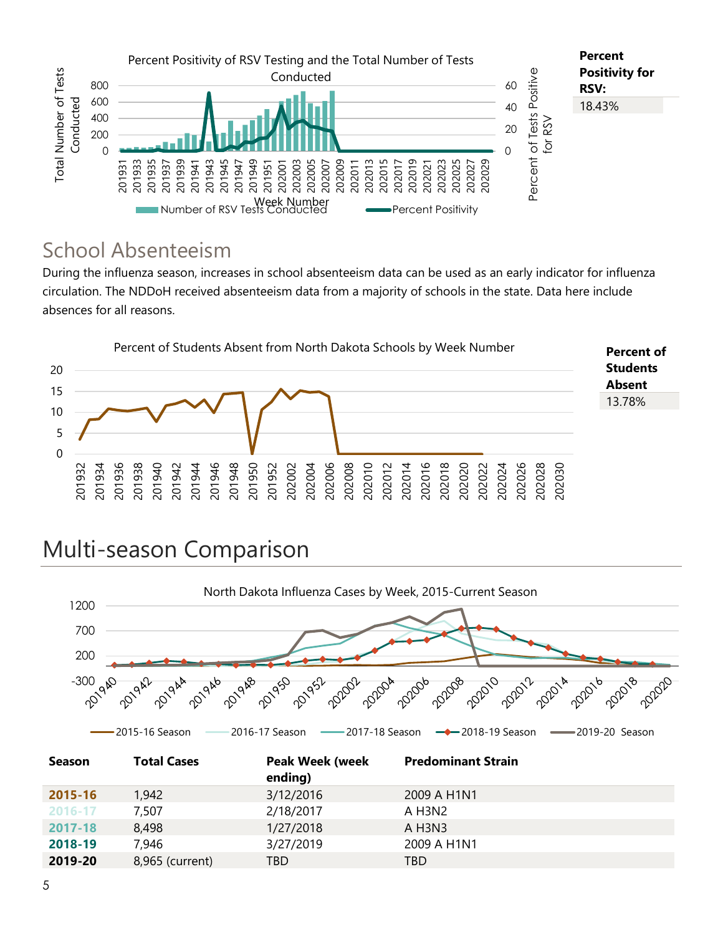

#### School Absenteeism

During the influenza season, increases in school absenteeism data can be used as an early indicator for influenza circulation. The NDDoH received absenteeism data from a majority of schools in the state. Data here include absences for all reasons.



## Multi-season Comparison